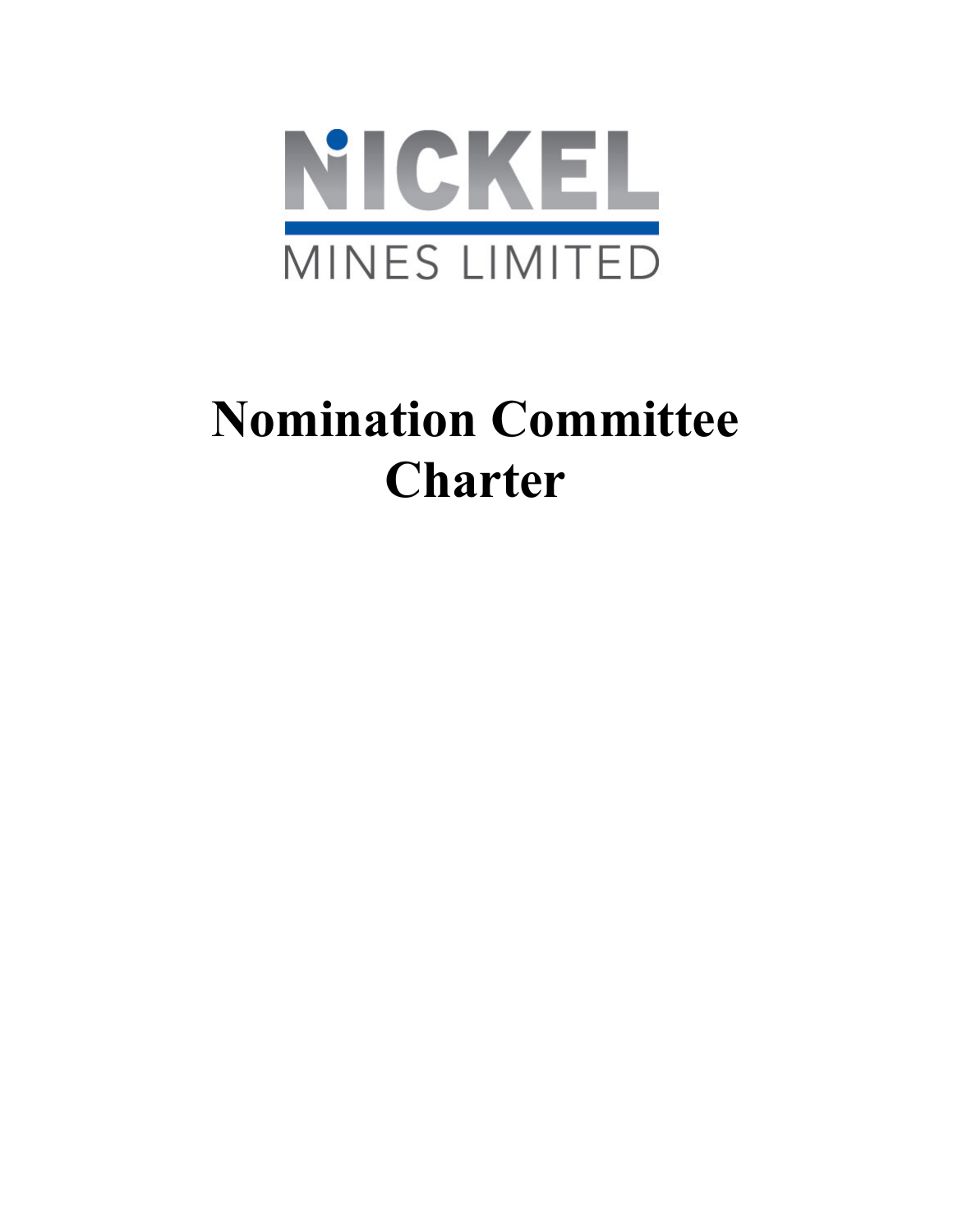

# Nomination Committee Charter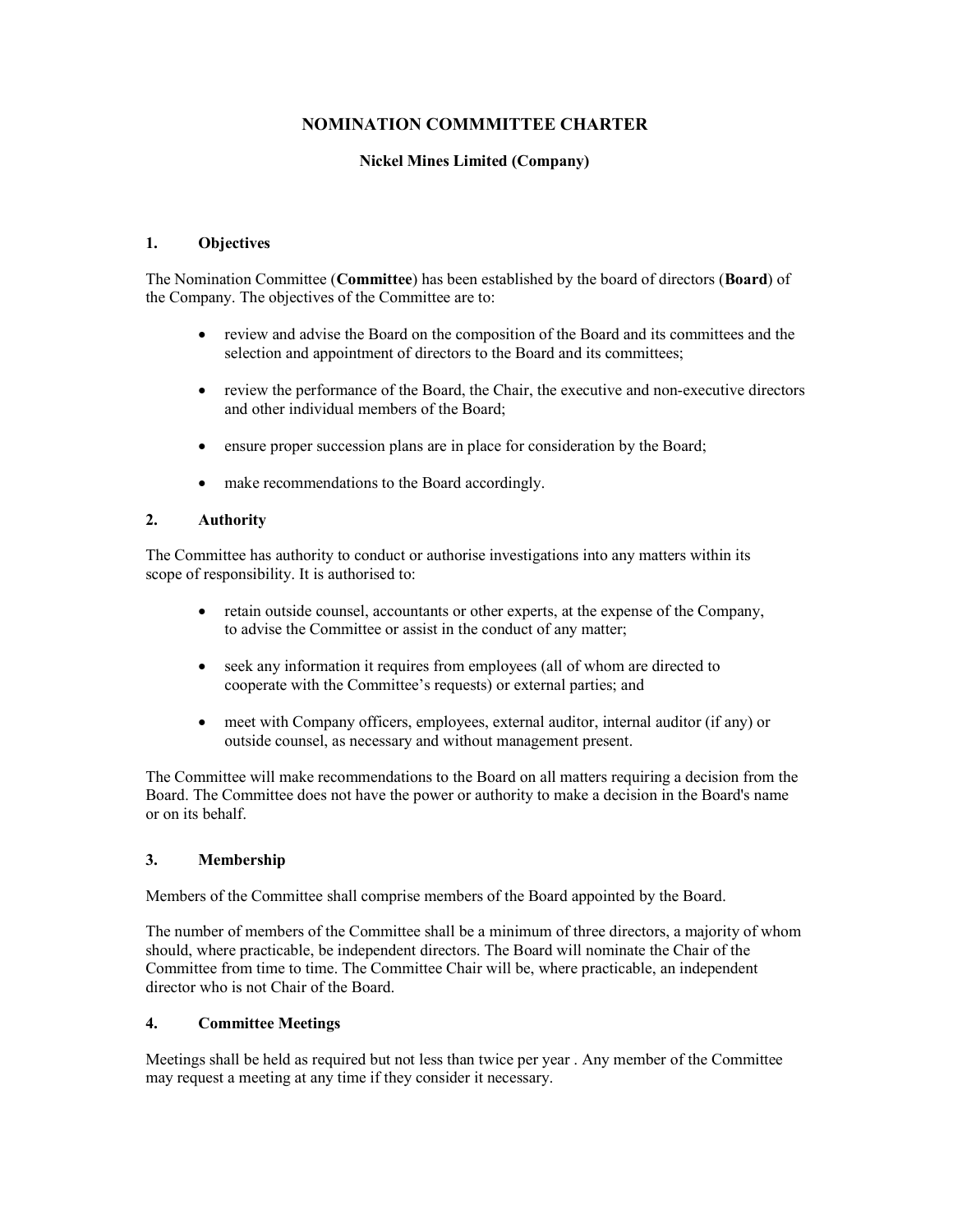## NOMINATION COMMMITTEE CHARTER

## Nickel Mines Limited (Company)

## 1. Objectives

The Nomination Committee (Committee) has been established by the board of directors (Board) of the Company. The objectives of the Committee are to:

- review and advise the Board on the composition of the Board and its committees and the selection and appointment of directors to the Board and its committees;
- review the performance of the Board, the Chair, the executive and non-executive directors and other individual members of the Board;
- ensure proper succession plans are in place for consideration by the Board;
- make recommendations to the Board accordingly.

## 2. Authority

The Committee has authority to conduct or authorise investigations into any matters within its scope of responsibility. It is authorised to:

- retain outside counsel, accountants or other experts, at the expense of the Company, to advise the Committee or assist in the conduct of any matter;
- seek any information it requires from employees (all of whom are directed to cooperate with the Committee's requests) or external parties; and
- meet with Company officers, employees, external auditor, internal auditor (if any) or outside counsel, as necessary and without management present.

The Committee will make recommendations to the Board on all matters requiring a decision from the Board. The Committee does not have the power or authority to make a decision in the Board's name or on its behalf.

#### 3. Membership

Members of the Committee shall comprise members of the Board appointed by the Board.

The number of members of the Committee shall be a minimum of three directors, a majority of whom should, where practicable, be independent directors. The Board will nominate the Chair of the Committee from time to time. The Committee Chair will be, where practicable, an independent director who is not Chair of the Board.

#### 4. Committee Meetings

Meetings shall be held as required but not less than twice per year . Any member of the Committee may request a meeting at any time if they consider it necessary.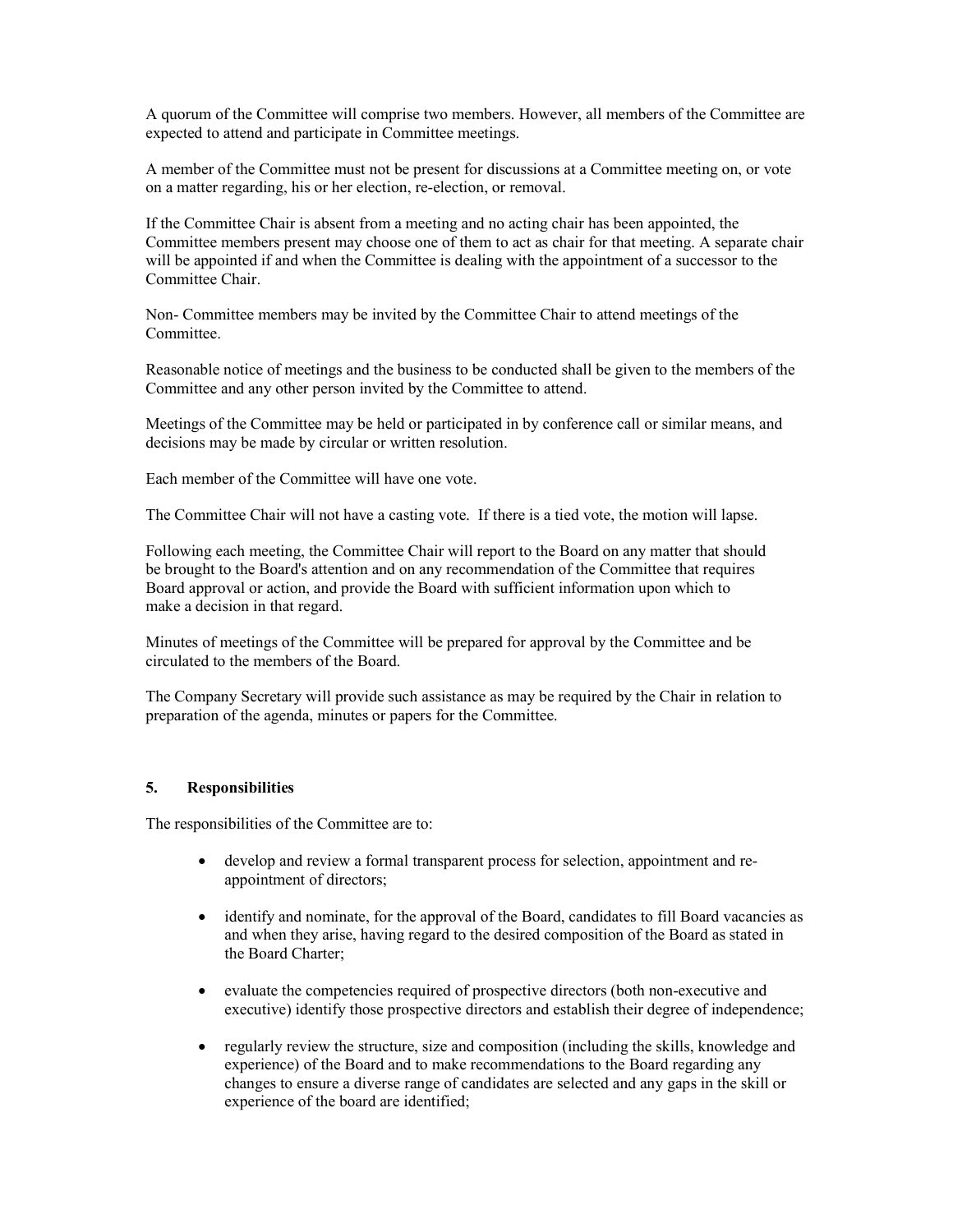A quorum of the Committee will comprise two members. However, all members of the Committee are expected to attend and participate in Committee meetings.

A member of the Committee must not be present for discussions at a Committee meeting on, or vote on a matter regarding, his or her election, re-election, or removal.

If the Committee Chair is absent from a meeting and no acting chair has been appointed, the Committee members present may choose one of them to act as chair for that meeting. A separate chair will be appointed if and when the Committee is dealing with the appointment of a successor to the Committee Chair.

Non- Committee members may be invited by the Committee Chair to attend meetings of the Committee.

Reasonable notice of meetings and the business to be conducted shall be given to the members of the Committee and any other person invited by the Committee to attend.

Meetings of the Committee may be held or participated in by conference call or similar means, and decisions may be made by circular or written resolution.

Each member of the Committee will have one vote.

The Committee Chair will not have a casting vote. If there is a tied vote, the motion will lapse.

Following each meeting, the Committee Chair will report to the Board on any matter that should be brought to the Board's attention and on any recommendation of the Committee that requires Board approval or action, and provide the Board with sufficient information upon which to make a decision in that regard.

Minutes of meetings of the Committee will be prepared for approval by the Committee and be circulated to the members of the Board.

The Company Secretary will provide such assistance as may be required by the Chair in relation to preparation of the agenda, minutes or papers for the Committee.

#### 5. Responsibilities

The responsibilities of the Committee are to:

- develop and review a formal transparent process for selection, appointment and reappointment of directors;
- identify and nominate, for the approval of the Board, candidates to fill Board vacancies as and when they arise, having regard to the desired composition of the Board as stated in the Board Charter;
- evaluate the competencies required of prospective directors (both non-executive and executive) identify those prospective directors and establish their degree of independence;
- regularly review the structure, size and composition (including the skills, knowledge and experience) of the Board and to make recommendations to the Board regarding any changes to ensure a diverse range of candidates are selected and any gaps in the skill or experience of the board are identified;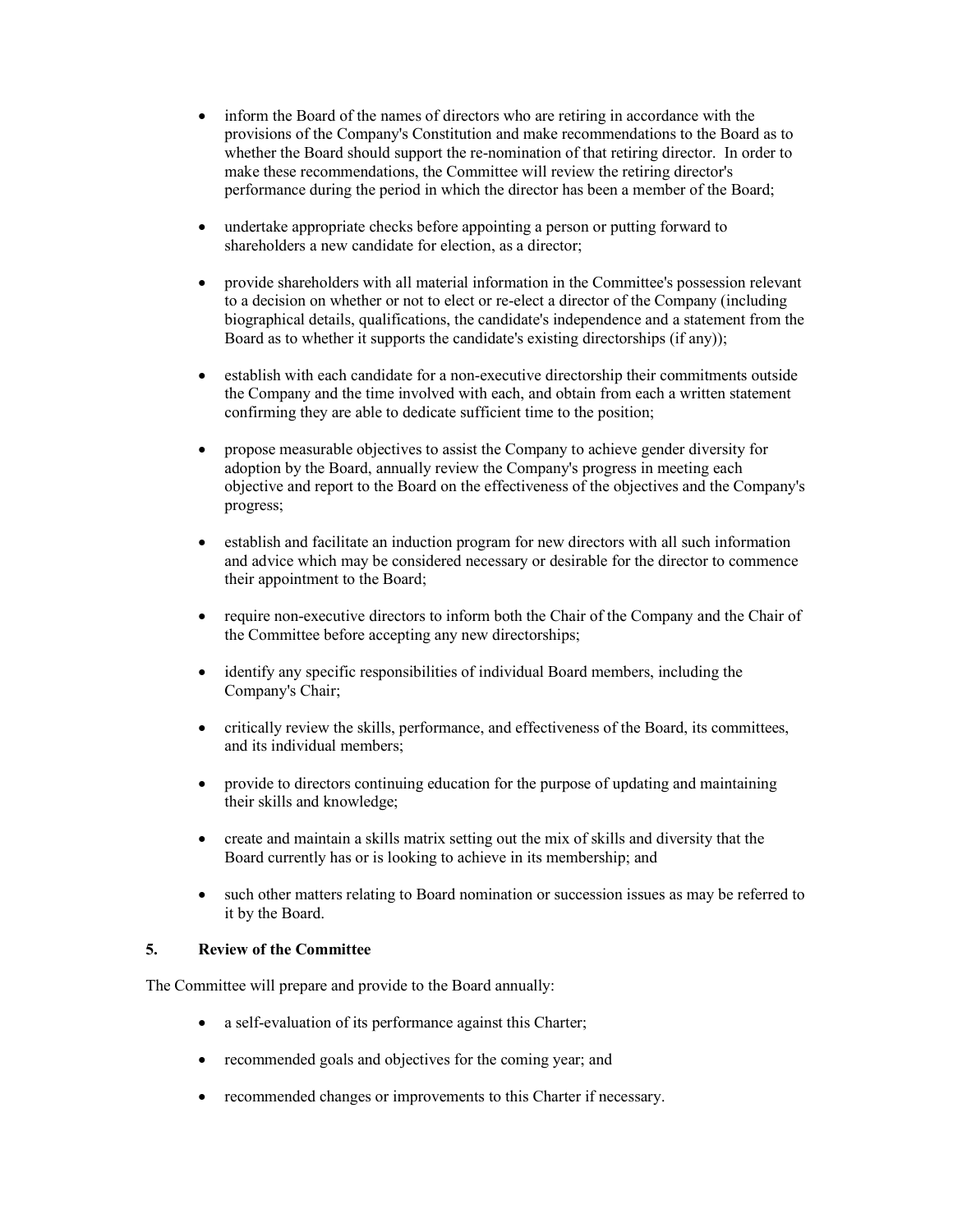- inform the Board of the names of directors who are retiring in accordance with the provisions of the Company's Constitution and make recommendations to the Board as to whether the Board should support the re-nomination of that retiring director. In order to make these recommendations, the Committee will review the retiring director's performance during the period in which the director has been a member of the Board;
- undertake appropriate checks before appointing a person or putting forward to shareholders a new candidate for election, as a director;
- provide shareholders with all material information in the Committee's possession relevant to a decision on whether or not to elect or re-elect a director of the Company (including biographical details, qualifications, the candidate's independence and a statement from the Board as to whether it supports the candidate's existing directorships (if any));
- establish with each candidate for a non-executive directorship their commitments outside the Company and the time involved with each, and obtain from each a written statement confirming they are able to dedicate sufficient time to the position;
- propose measurable objectives to assist the Company to achieve gender diversity for adoption by the Board, annually review the Company's progress in meeting each objective and report to the Board on the effectiveness of the objectives and the Company's progress;
- establish and facilitate an induction program for new directors with all such information and advice which may be considered necessary or desirable for the director to commence their appointment to the Board;
- require non-executive directors to inform both the Chair of the Company and the Chair of the Committee before accepting any new directorships;
- identify any specific responsibilities of individual Board members, including the Company's Chair;
- critically review the skills, performance, and effectiveness of the Board, its committees, and its individual members;
- provide to directors continuing education for the purpose of updating and maintaining their skills and knowledge;
- create and maintain a skills matrix setting out the mix of skills and diversity that the Board currently has or is looking to achieve in its membership; and
- such other matters relating to Board nomination or succession issues as may be referred to it by the Board.

#### 5. Review of the Committee

The Committee will prepare and provide to the Board annually:

- a self-evaluation of its performance against this Charter;
- recommended goals and objectives for the coming year; and
- recommended changes or improvements to this Charter if necessary.